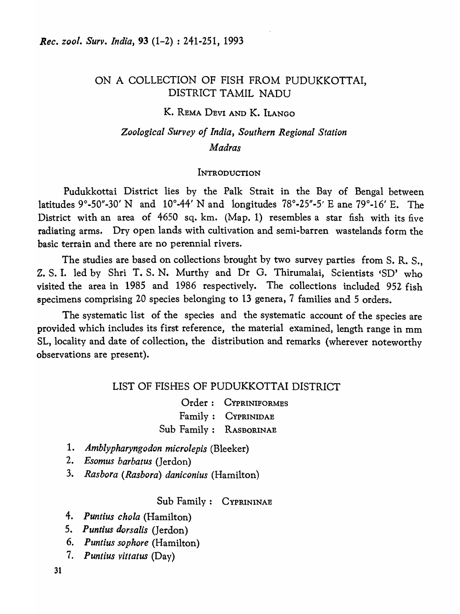## ON A COLLECTION OF FISH FROM PUDUKKOTTAI, DISTRICT TAMIL NADU

## K. REMA DEVl AND K. ILANGO

# *Zoological Survey of India, Southern Regional Station Madras*

#### INTRODUCTION

Pudukkottai District lies by the Palk Strait in the Bay of Bengal between latitudes 9°-50"-30' N and 10°-44' N and longitudes  $78^\circ$ -25"-5' E ane  $79^\circ$ -16' E. The District with an area of 4650 sq. km. (Map. 1) resembles a star fish with its five radiating arms. Dry open. lands with cultivation and semi-barren wastelands form the basic terrain and there are no perennial rivers.

The studies are based on collections brought by two survey parties from S. R. S., Z. S. I. led by Shri T. S. N. Murthy and Dr G. Thirumalai, Scientists 'SD' who visited the area in 1985 and 1986 respectively. The collections included 952 fish specimens comprising 20 species belonging to 13 genera, 7 families and 5 orders.

The systematic list of the species and the systematic account of the species are provided which includes its first reference, the material examined, length range in mm SL, locality and date of collection, the distribution and remarks (wherever noteworthy observations are present).

## LIST OF FISHES OF PUDUKKOTTAI DISTRICT

Order: CYPRINIFORMES Family: CYPRINIDAE Sub Family: RASBORINAE

- *1. Amblypharyngodon microlepis* (Bleeker)
- *2. Esomus barbatus* (Jerdon)
- *3. Rasbora (Rasbora) daniconius* (Hamilton)

Sub Family: CYPRININAE

- *4. Puntius chola* (Hamilton)
- *5. Puntius dorsalis* (Jerdon)
- *6. Puntius sophore* (Hamilton)
- *7. Puntius vittatus* (Day)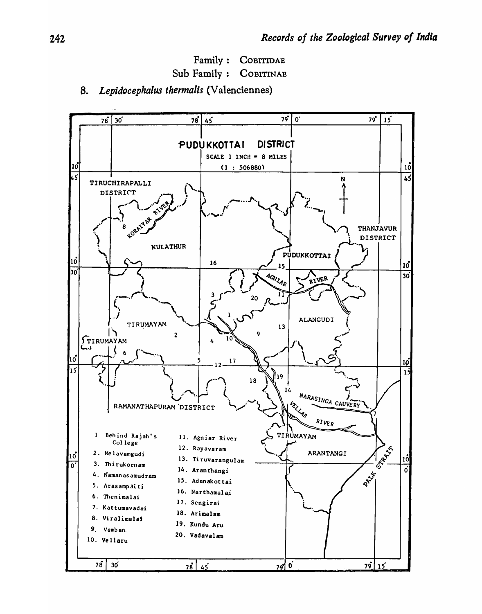Family: COBITIDAE Sub Family: COBITINAE

## *8. Lepidocephalus thermalis* (Valenciennes)

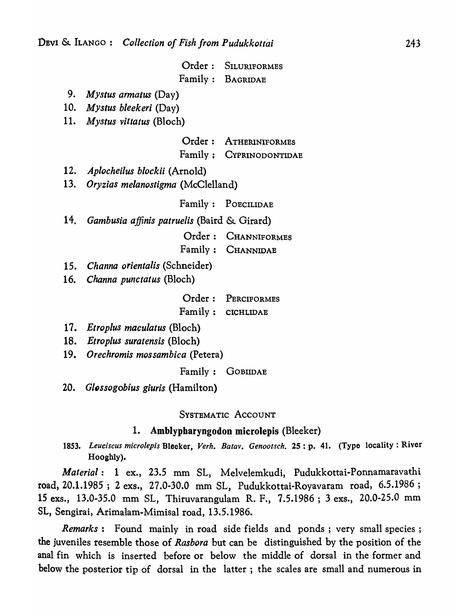| Order: SILURIFORMES |
|---------------------|
| Family: BAGRIDAE    |

- *9. Mystus armatus* (Day)
- 10. *Mystus bleekeri* (Day)
- 11. *Mystus vitlatus* (Bloch)

Order: ATHERINIFORMES

### Family; CYPRINODONTIDAE

- *12. Aplocheilus blockii* (Arnold)
- *13. Oryzias melanostigma* (McClelland)

Family: POECILIDAE

14. Gambusia affinis patruelis (Baird & Girard)

Order: CHANNIFORMES

Family: CHANNIDAE

- 15. *Channa orientalis* (Schneider)
- 16. *Channa punctatus* (Bloch)

Order: PERCIFORMES Family: CICHLIDAE

- *17. Etroplus maculatus* (Bloch)
- 18. *Etroplus suratensis* (Bloch)
- 19. *Orechromis mossambica* (Petera)

Family: GOBlIDAE

20. *Glossogobius giuris* (Hamilton)

SYSTEMATIC ACCOUNT

### 1. Amblypbaryngodon microlepis (Bleeker)

*1853. Leuciscus microiepis* Bleeker, *Verh. Batav. Genootsch.* 25: p. 41. (Type locality: River Hooghly).

*Material:* 1 ex., 23.5 mm SL, Melvelemkudi, Pudukkottai-Ponnamaravathi road, 20.1.1985; 2 exs., 27.0-30.0 mm SL, Pudukkottai-Royavaram road, 6.5.1986; 15 exs., 13.0-35.0 mm SL, Thiruvarangulam R. F., 7.5.1986; 3 exs., 20.0-25.0 mm SL, Sengirai, Arimalam-Mimisal road, 13.5.1986.

*Remarks:* Found mainly in road side fields and ponds; very small species; the juveniles resemble those of *Rasbora* but can be distinguished by the position of the anal fin which is inserted before or below the middle of dorsal in the former and below the posterior tip of dorsal in the latter; the scales are small and numerous in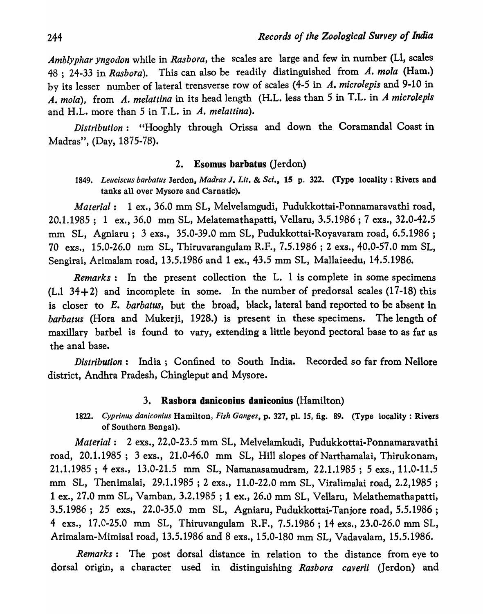*Amblyphar yngodon* while in *Rasbora,* the scales are large and few in number (LI, scales 48 ; 24-33 in *Rasbora).* This can also be readily distinguished from *A. mola* (Ham.) by its lesser number of lateral trensverse row of scales (4-5 in *A. microlepis* and 9-10 in *A. mola),* from *A. melattina* in its head length (H.L. less than 5 in T.L. in *A microlepis*  and H.L. more than 5 in T.L. in *A. melattina).* 

*Distribution:* "Hooghly through Orissa and down the Coramandal Coast in Madras", (Day, 1875-78).

### 2. Esomus barbatus (Jerdon)

## 1849. Leuciscus barbatus Jerdon, *Madras J, Lit. & Sci.*, 15 p. 322. (Type locality : Rivers and tanks all over Mysore and Carnatic).

*Material:* 1 ex., 36.0 mm SL, Melvelamgudi, Pudukkottai-Ponnamaravathi road, 20.1.1985; 1 ex., 36.0 mm SL, Melatemathapatti, Vellaru, 3.5.1986 ; 7 exs., 32.0-42.5 mm SL, Agniaru; 3 exs., 35.0-39.0 mm SL, Pudukkottai-Royavaram road, 6.5.1986 ; 70 exs., 15.0-26.0 111m SL, Thiruvarangulam R.F., 7.5.1986 ; 2 exs., 40.0-57.0 mm SL, Sengirai, Arimalam road, 13.5.1986 and 1 ex., 43.5 mm SL, Mallaieedu, 14.5.1986.

*Remarks:* In the present collection the L. I is complete in some specimens  $(L.1 34+2)$  and incomplete in some. In the number of predorsal scales (17-18) this is closer to *E. barbatus,* but the broad, black, lateral band reported to be absent in *barbatus* (Hora and Mukerji, 1928.) is present in these specimens. The length of maxillary barbel is found to vary, extending a little beyond pectoral base to as far as the anal base.

*Distribution:* India; Confined to South India. Recorded so far from Nellore district, Andhra Pradesh, Chingleput and Mysore.

## 3. Rasbora daniconius daniconius (Hamilton)

*1822. Cyprinus daniconius* Hamilton, *Fish Ganges,* p. 327, pl. 15, fig. 89. (Type locality: Rivers of Southern Bengal).

*Material:* 2 exs., 22.0-23.5 mm SL, Melvelamkudi, Pudukkottai-Ponnamaravathi road, 20.1.1985; 3 exs., 21.0-46.0 mm SL, Hill slopes of Narthamalai, Thirukonam, 21.1.1985 ; 4 exs., 13.0-21.5 mm SL, Namanasamudram, 22.1.1985 ; 5 exs., 11.0-11.5 mm SL, Thenimalai, 29.1.1985; 2 exs., 11.0-22.0 mm SL, Viralimalai road, 2.2,1985 ; 1 ex., 27.0 mm SL, Vamban, 3.2.1985 ; 1 ex., 26.0 mm SL, Vellaru, Melathemathapatti, 3.5.1986; 25 exs., 22.0-35.0 mm SL, Agniaru, Pudukkottai-Tanjore road, 5.5.1986 ; 4 exs., 17.0-25.0 mm SL, Thiruvangulam R.F., 7.5.1986; 14 exs., 23.0-26.0 mm SL, Arimalam-Mimisal road, 13.5.1986 and 8 exs., 15.0-180 mm SL, Vadavalam, 15.5.1986.

*Remarks:* The post dorsal distance in relation to the distance from eye to dorsal origin, a character used in distinguishing *Rasbora caverii* (Jerdon) and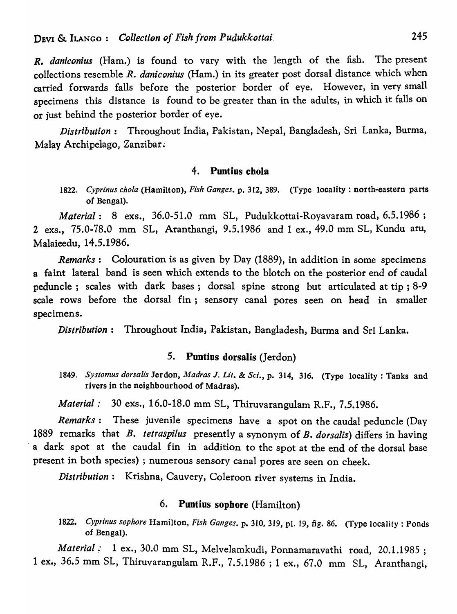*R. daniconius* (Ham.) is found to vary with the length of the fish. The present collections resemble *R. daniconius* (Ham.) in its greater post dorsal distance which when carried forwards falls before the posterior border of eye. However, in very small specimens this distance is found to be greater than in the adults, in which it falls on or just behind the posterior border of eye.

*Distribution:* Throughout India, Pakistan, Nepal, Bangladesh, Sri Lanka, Burma, Malay Archipelago, Zanzibar.

#### 4. Puntius chola

1822. *Cyprinus chola* (Hamilton), *Fish Ganges.* p. 312, 389. (Type locality: north-eastern parts of Bengal).

*Material:* 8 exs., 36.0-51.0 mm SL, Pudukkottai-Royavaram road, 6.5.1986 ; 2 exs., 75.0-78.0 mm SL, Aranthangi, 9.5.1986 and 1 ex., 49.0 mm SL, Kundu aru, Malaieedu, 14.5.1986.

*Remarks:* Colouration is as given by Day (1889), in addition in some specimens a faint lateral band is seen which extends to the blotch on the posterior end of caudal peduncle; scales with dark bases; dorsal spine strong but articulated at tip; 8-9 scale rows before the dorsal fin; sensory canal pores seen on head in smaller specimens.

*Distribution:* Throughout India, Pakistan, Bangladesh, Burma and Sri Lanka.

## 5. Puntius dorsalis (Jerdon)

*1849. Systomus dorsalis* Jerdon, *Madras* J. *Lit.* & *SCi.,* p. 314, 316. (Type locality: Tanks and rivers in the neighbourhood of Madras).

*Material:* 30 exs., 16.0-18.0 mm SL, Thiruvarangulam R.F., 7.5.1986.

*Remarks:* These juvenile specimens have a spot on the caudal peduncle (Day 1889 remarks that B. *tetraspilus* presently a synonym of B. *dorsalis)* differs in having a dark spot at the caudal fin in addition to the spot at the end of the dorsal base present in both species) ; numerous sensory canal pores are seen on cheek.

*Distribution:* Krishna, Cauvery, Coleroon river systems in India.

## 6. Puntius sophore (Hamilton)

1822. *Cyprinus sophore* Hamilton, *Fish Ganges.* p. 310, 319, pI. 19, fig. 86. (Type locality: Ponds of Bengal).

Material : 1 ex., 30.0 mm SL, Melvelamkudi, Ponnamaravathi road, 20.1.1985; 1 ex., 36.5 mm SL, Thiruvarangulam R.F., 7.5.1986 ; 1 ex., 67.0 mm SL, Aranthangi,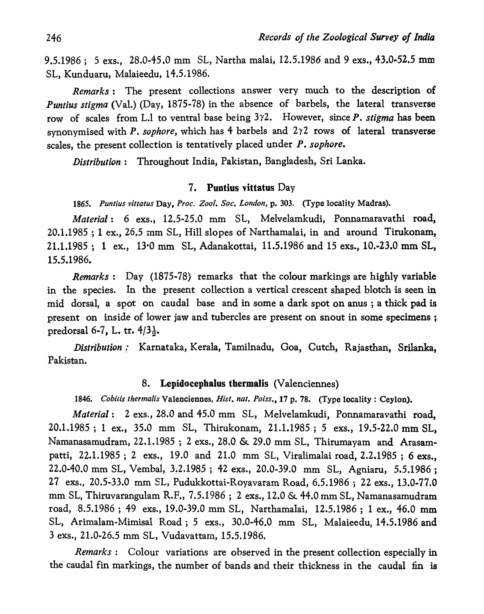9.5.1986; 5 exs., 28.0-45.0 mm SL, Nartha malai, 12.5.1986 and 9 exs., 43.0-52.5 mm SL, Kunduaru, Malaieedu, 14.5.1986.

*Remarks:* The present collections answer very much to the description of *Puntius stigma* (Val.) (Day, 1875-78) in the absence of barbels, the lateral transverse row of scales from L.1 to ventral base being 3)'2. However, since *P. stigma* has been synonymised with *P. sophore*, which has 4 barbels and 2 $\gamma$ 2 rows of lateral transverse scales, the present collection is tentatively placed under *P. sophore.* 

*Distribution:* Throughout India, Pakistan, Bangladesh, Sri Lanka.

## 7. Puntius vittatus Day

*1865. Puntius vittatus* Day, *Proc. Zoo!. Soc. London,* p. 303. (Type locality Madras).

*Material:* 6 exs., 12.5-25.0 mm SL, Melvelamkudi, Ponnamaravathi road,  $20.1.1985$ ; 1 ex., 26.5 mm SL, Hill slopes of Narthamalai, in and around Tirukonam, 21.1.1985; 1 ex., 13'0 mm SL, Adanakottai, 11.5.1986 and 15 exs., 10.-23.0 mm SL, 15.5.1986.

*Remarks:* Day (1875-78) remarks that the colour markings are highly variable in the species. In the present collection a vertical crescent shaped blotch is seen in mid dorsal, a spot on caudal base and in some a dark spot on anus ; a thick pad is present on inside of lower jaw and tubercles are present on snout in some specimens; predorsal 6-7, L. tr.  $4/3\frac{1}{2}$ .

Distribution: Karnataka, Kerala, Tamilnadu, Goa, Cutch, Rajasthan, Srilanka, Pakistan.

## 8. Lepidocepbalus tbermalis (Valenciennes)

*1846. Cobilis thermalis* Valenciennes, *Hist. nat. Poiss.,* 17 p. 78. (Type locality: Ceylon).

*Material:* 2 exs., 28.0 and 45.0 mm SL, Melvelamkudi, Ponnamaravathi road, 20.1.1985 ; 1 ex., 35.0 mm SL, Thirukonam, 21.1.1985; 5 exs., 19.5-22.0 mm SL, Namanasamudram, 22.1.1985 ; 2 exs., 28.0 & 29.0 mm SL, Thirumayam and Arasampatti, 22.1.1985; 2 exs., 19.0 and 21.0 mm SL, Viralimalai road, 2.2.1985 ; 6 exs., 22.0-40.0 mm SL, Vembal, 3.2.1985 ; 42 exs., 20.0-39.0 mm SL, Agniaru, 5.5.1986; 27 exs." 20.5-33.0 mm SL, Pudukkottai-Royavaram Road, 6.5.1986 ; 22 exs., 13.0-77.0 mm SL, Thiruvarangulam R.F., 7.5.1986 ; 2 exs., 12.0 & 44.0 mm SL, Namanasamudram road, 8.5.1986; 49 exs., 19.0-39.0 mm SL, Narthamalai, 12.5.1986; 1 ex., 46.0 mm SL, Arimalam-Mimisal Road; 5 exs., 30.0-46.0 mm SL, Malaieedu, 14.5.1986 and 3 exs., 21.0-26.5 mm SL, Vudavattarn, 15.5.1986.

*Remarks:* Colour variations are observed in the present collection especially in the caudal fin markings, the number of bands and their thickness in the caudal fin is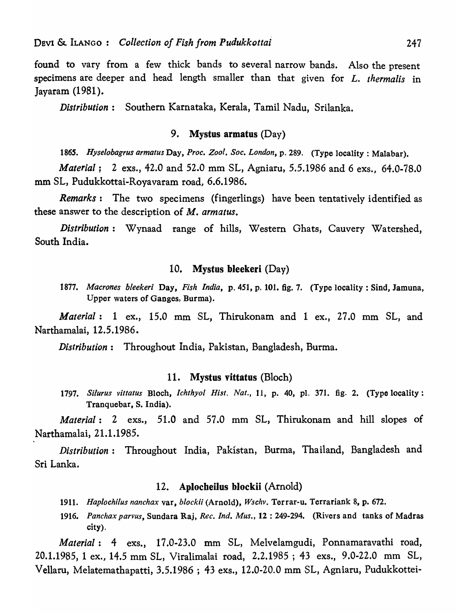found to vary from a few thick bands to several narrow bands. Also the present specimens are deeper and head length smaller than that given for L. *thermalis* in Jayaram (1981).

*Distribution:* Southern Karnataka, Kerala, Tamil Nadu, Srilanka.

## 9. Mystus armatus (Day)

*1865. Hyselobagrus armatus* Day, *Proc. Zoo!. Soc. London,* p. 289. (Type locality: Malabar).

*Material*: 2 exs., 42.0 and 52.0 mm SL, Agniaru, 5.5.1986 and 6 exs., 64.0-78.0 mm SL, Pudukkottai-Royavaram road, 6.6.1986.

*Remarks:* The two specimens (fingerlings) have been tentatively identified as these answer to the description of *M. armatus.* 

*Distribution:* Wynaad range of hills, Western Ghats, Cauvery Watershed, South India.

## 10. Mystus bleekeri (Day)

*1877. Macrones bleeker;* Day, *Fish India,* p. 451, p. 101. fig. 7. (Type locality: Sind, Jamuna, Upper waters of Ganges, Burma).

*Material:* 1 ex., 15.0 mm SL, Thirukonam and 1 ex., 27.0 mm SL, and Narthamalai, 12.5.1986.

*Distribution:* Throughout India, Pakistan, Bangladesh, Burma.

#### 11. Mystus vittatus (Bloch)

*1797. Silurus vittatus* Bloch, *Ichthyol Hist. Nat.,* 11, p. 40, pI. 371. fig. 2. (Type locality: Tranquebar, S. India).

*Material:* 2 exs., 51.0 and 57.0 mm SL, Thirukonam and hill slopes of Narthamalai, 21.1.1985.

*Distribution:* Throughout India, Pakistan, Burma, Thailand, Bangladesh and Sri Lanka.

#### 12. Aplocbeilus blockii (Arnold)

- *1911. Haplochilus nanchax* var, *blockii* (Arnold), *Wschv.* Terrar-u. Terrariank 8, p. 672.
- *1916. Panchax parvus,* Sundara Raj, *Ree. Ind. Mus.,* 12 : 249-294. (Rivers and tanks of Madras city).

*Material:* 4 exs., 17.0-23.0 mm SL, Melvelamgudi, Ponnamaravathi road, 20.1.1985, 1 ex., 14.5 mm SL, Viralimalai road, 2.2.1985; 43 exs., 9.0-22.0 mm SL, Vella ru , Melatemathapatti, 3.5.1986 ; 43 exs., 12.0-20.0 mm SL, Agniaru, Pudukkottei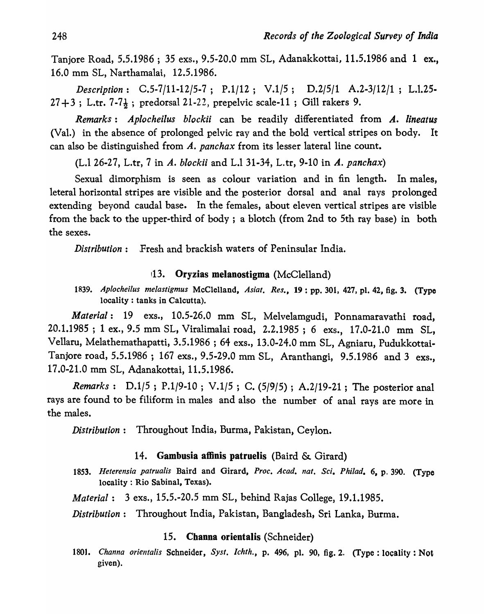Tanjore Road, 5.5.1986 ; 35 exs., 9.5-20.0 mm SL, Adanakkottai, 11.5.1986 and 1 ex., 16.0 mm SL, Narthamalai, 12.5.1986.

*Description: C.5-7/11-12/5-7; P.1/12; V.1/5; D.2/5/1 A.2-3/12/1;* L.1.25-  $27 + 3$ ; L.tr.  $7 - 7\frac{1}{2}$ ; predorsal 21-22, prepelvic scale-11; Gill rakers 9.

*Remarks: Aplocheilus blockii* can be readily differentiated from *A. lineatus*  (Val.) in the absence of prolonged pelvic ray and the bold vertical stripes on body. It can also be distinguished from *A. panchax* from its lesser lateral line count.

(L.1 26-27, L.tr, 7 in *A. blockii* and L.l 31-34, L.tr, 9-10 in *A. panchax)* 

Sexual dimorphism is seen as colour variation and in fin length. In males, leteral horizontal stripes are visible and the posterior dorsal and anal rays prolonged extending beyond caudal base. In the females, about eleven vertical stripes are visible from the back to the upper-third of body; a blotch (from 2nd to 5th ray base) in both the sexes.

*Distribution:* Fresh and brackish waters of Peninsular India.

## !13. Oryzias melanostigma (McClelland)

*1839. Aplocheilus melastigmus* McClelland, *Asiat. Res.,* 19: pp. 301, 427, pI. 42, fig. 3. (Type locality: tanks in Calcutta).

*Material:* 19 exs., 10.5-26.0 mm SL, Melvelamgudi, Ponnamaravathi road, 20.1.1985 ; 1 ex., 9.5 mm SL, Viralimalai road, 2.2.1985; 6 exs., 17.0-21.0 mm SL, Vellaru, Melathemathapatti, 3.5.1986 ; 64 exs., 13.0-24.0 mm SL, Agniaru, Pudukkottai-Tanjore road, 5.5.1986 ; 167 exs., 9.5-29.0 mm SL, Aranthangi, 9.5.1986 and 3 exs., 17.0-21.0 mm SL, Adanakottai, 11.5.1986.

*Remarks: D.l/S ; P.1/9-10; V.1/5* ; C. *(519/5)* ; A.2/19-21; The posterior anal rays are found to be filiform in males and also the number of anal rays are more in the males.

*Distribution:* Throughout India, Burma. Pakistan, Ceylon.

### 14. Gambusia affinis patruelis (Baird & Girard)

1853. *Heterensia patrualis* Baird and Girard, *Proc. A cad. nat. Sci. Phi/ad.* 6, p. 390. (Type locality: Rio Sabinal, Texas).

*Material:* 3 exs., 15.5.-20.5 mm SL, behind Rajas College, 19.1.1985.

*Distribution:* Throughout India, Pakistan, Bangladesh, Sri Lanka, Burma.

## 15. Channa orientalis (Schneider)

1801. Channa orientalis Schneider, Syst. Ichth., p. 496, pl. 90, fig. 2. (Type: locality: Not given).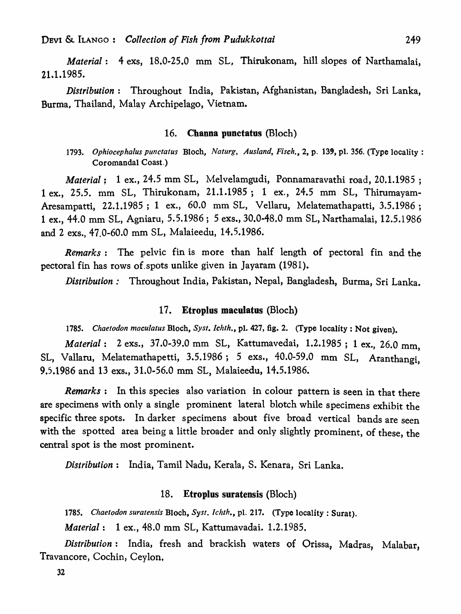*Material:* 4 exs, 18.0-25.0 mm SL, Thirukonam, hill slopes of Narthamalai, 21.1.1985.

*Distribution:* Throughout India, Pakistan, Afghanistan, Bangladesh, Sri Lanka, Burma, Thailand, Malay Archipelago, Vietnam.

#### 16. Channa pnnctatus (Bloch)

*1793. Ophiocephalus punctatus* Bloch, *Naturg, Ausland, Fisch.,* 2, p. 139, pI. 356. (Type locality: Coromandal Coast.)

*Material*: 1 ex., 24.5 mm SL, Melvelamgudi, Ponnamaravathi road, 20.1.1985; 1 ex., 25.5. mm SL, Thirukonam, 21.1.1985; 1 ex., 24.5 mm SL, Thirumayam-Aresampatti, 22.1.1985; 1 ex., 60.0 mm SL, Vellaru, Melatemathapatti, 3.5.1986 ; 1 ex., 44.0 mm SL, Agniaru, 5.5.1986; 5 exs., 30.0-48.0 mm SL, Narthamalai, 12.5.1986 and 2 exs., 47.0-60.0 mm SL, Malaieedu, 14.5.1986.

*Remarks:* The pelvic fin is more than half length of pectoral fin and the pectoral fin has rows of.spots unlike given in Jayaram (1981).

*Distribution:* Throughout India, Pakistan, Nepal, Bangladesh, Burma, Sri Lanka.

### 17. Etroplus maculatus (Bloch)

*1785. Chaetodon maculatus* Bloch, *Syst. Ichth.,* pl. 427, fig. 2. (Type locality: Not given).

*Material:* 2 exs., 37.0-39.0 mm SL, Kattumavedai, 1.2.1985; 1 ex., 26.0 mm, SL, Vallaru, Melatemathapetti, 3.5.1986; 5 exs., 40.0-59.0 mm SL, Aranthangi, 9.5.1986 and 13 exs., 31.0-56.0 mm SL, Malaieedu, 14.5.1986.

*Remarks:* In this species also variation in colour pattern is seen in that there are specimens with only a single prominent lateral blotch while specimens exhibit the specific three spots. In darker specimens about five broad vertical bands are seen with the spotted area being a little broader and only slightly prominent, of these, the central spot is the most prominent.

*Distribution:* India, Tamil Nadu, Kerala, S. Kenara, Sri Lanka.

### 18. Etroplus suratensis (Bloch)

*1785. Chaetodon suratensis* Bloch, *Syst. Ichth.,* pI. 217. (Type locality: Surat).

*Material:* 1 ex., 48.0 mm SL, Kattumavadai. 1.2~1985.

*Distribution:* India, fresh and brackish waters of Orissa, Madras, Malabar, Travancore, Cochin, Ceylon,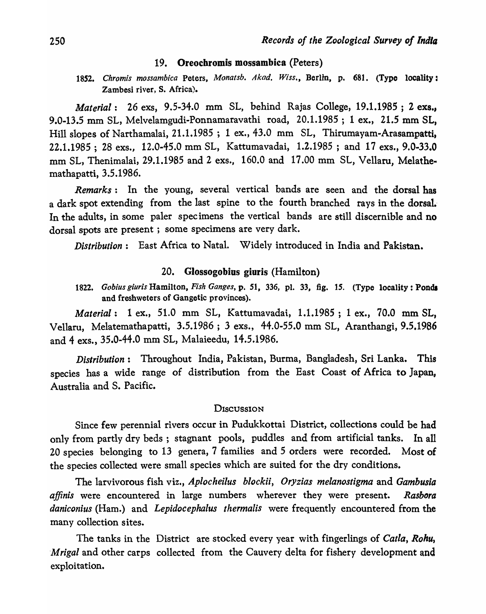#### 19. Oreochromis mossambica (Peters)

1852. Chromis mossambica Peters, *Monatsb. Akad. Wiss.*, Berlin, p. 681. (Type locality: Zambesi river, S. Africa).

*Material:* 26 exs, 9.5-34.0 mm SL, behind Rajas College, 19.1.1985 ; 2 exs., 9.0-13.5 mm SL, Melvelamgudi-Ponnamaravathi road, 20.1.1985; 1 ex., 21.5 mm SL, Hill slopes of Narthamalai, 21.1.1985 ; 1 ex., 43.0 mm SL, Thirumayam-Arasampatti, 22.1.1985 ; 28 exs., 12.0-45.0 mm SL, Kattumavadai, 1.2.1985; and 17 exs., 9.0-33.0 mm SL, Thenimalai, 29.1.1985 and 2 exs., 160.0 and 17.00 mm SL, Vellaru, Melathemathapatti, 3.5.1986.

*Remarks:* In the young, several vertical bands are seen and the dorsal has a dark spot extending from the last spine to the fourth branched rays in the dorsal. In the adults, in some paler specimens the vertical bands are still discernible and no dorsal spots are present; some specimens are very dark.

*Distribution:* East Africa to Nata1. Widely introduced in India and Pakistan.

## 20. Glossogobius giuris (Hamilton)

*1822. Gobius giuris* Hamilton, *Fish Ganges,* p. 51, 336, pI. 33, fig. 15. (Type locality: Ponds and freshweters of Gangetic provinces).

*Material:* 1 ex., 51.0 mm SL, Kattumavadai, 1.1.1985; 1 ex., 70.0 mm SL, Vellaru, Melatemathapatti, 3.5.1986; 3 exs., 44.0-55.0 mm SL, Aranthangi, 9.5.1986 and 4 exs., 35.0-44.0 mm SL, Malaieedu, 14.5.1986.

*Distribution:* Throughout India, Pakistan, Burma, Bangladesh, Sri Lanka. This species has a wide range of distribution from the East Coast of Africa to Japan, Australia and S. Pacific.

#### **Discussion**

Since few perennial rivers occur in Pudukkottai District, collections could be had only from partly dry beds; stagnant pools, puddles and from artificial tanks. In all 20 species belonging to 13 genera, 7 families and 5 orders were recorded. Most of the species collected were small species which are suited for the dry conditions.

The larvivorous fish viz., *Aplocheilus blockii, Oryzias melanostigma* and *Gambusia affinis* were encountered in large numbers wherever they were present. *Rasbora daniconius* (Ham.) and *Lepidocephalus thermalis* were frequently encountered from the many collection sites.

The tanks in the District are stocked every year with fingerlings of *Catla, Rohu, Mrigal* and other carps collected from the Cauvery delta for fishery development and exploitation.